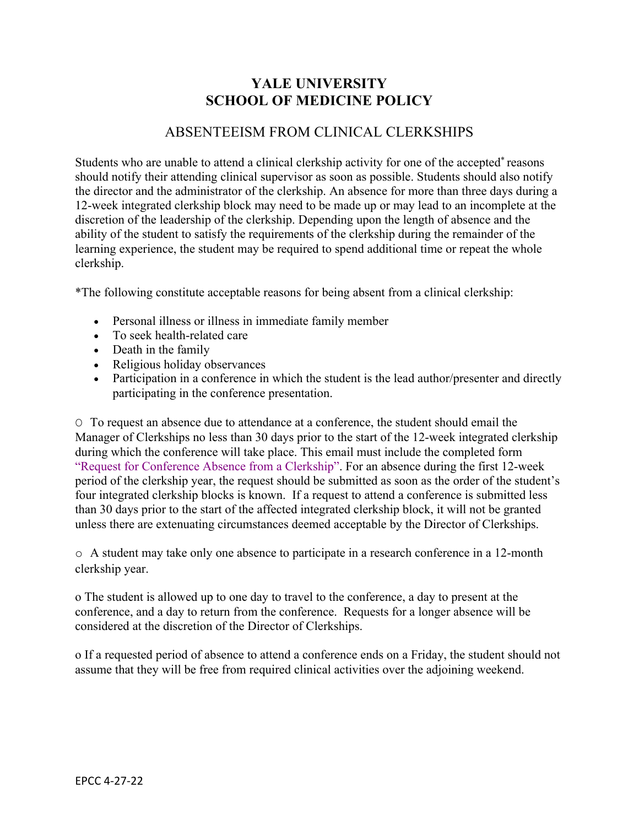# **YALE UNIVERSITY SCHOOL OF MEDICINE POLICY**

## ABSENTEEISM FROM CLINICAL CLERKSHIPS

 12-week integrated clerkship block may need to be made up or may lead to an incomplete at the Students who are unable to attend a clinical clerkship activity for one of the accepted\* reasons should notify their attending clinical supervisor as soon as possible. Students should also notify the director and the administrator of the clerkship. An absence for more than three days during a discretion of the leadership of the clerkship. Depending upon the length of absence and the ability of the student to satisfy the requirements of the clerkship during the remainder of the learning experience, the student may be required to spend additional time or repeat the whole clerkship.

\*The following constitute acceptable reasons for being absent from a clinical clerkship:

- Personal illness or illness in immediate family member
- To seek health-related care
- Death in the family
- Religious holiday observances
- Participation in a conference in which the student is the lead author/presenter and directly participating in the conference presentation.

 period of the clerkship year, the request should be submitted as soon as the order of the student's four integrated clerkship blocks is known. If a request to attend a conference is submitted less than 30 days prior to the start of the affected integrated clerkship block, it will not be granted O To request an absence due to attendance at a conference, the student should email the Manager of Clerkships no less than 30 days prior to the start of the 12-week integrated clerkship during which the conference will take place. This email must include the completed form "Request for Conference Absence from a Clerkship". For an absence during the first 12-week unless there are extenuating circumstances deemed acceptable by the Director of Clerkships.

 clerkship year. o A student may take only one absence to participate in a research conference in a 12-month

o The student is allowed up to one day to travel to the conference, a day to present at the conference, and a day to return from the conference. Requests for a longer absence will be considered at the discretion of the Director of Clerkships.

 assume that they will be free from required clinical activities over the adjoining weekend. o If a requested period of absence to attend a conference ends on a Friday, the student should not